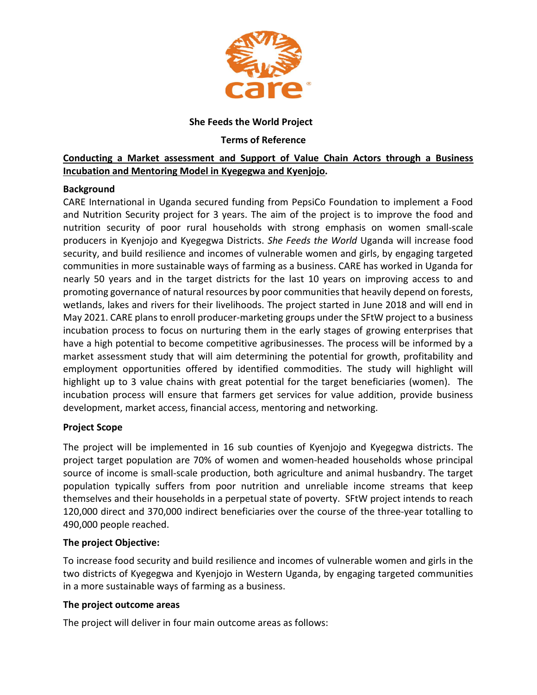

## She Feeds the World Project

### Terms of Reference

# Conducting a Market assessment and Support of Value Chain Actors through a Business Incubation and Mentoring Model in Kyegegwa and Kyenjojo.

## **Background**

CARE International in Uganda secured funding from PepsiCo Foundation to implement a Food and Nutrition Security project for 3 years. The aim of the project is to improve the food and nutrition security of poor rural households with strong emphasis on women small-scale producers in Kyenjojo and Kyegegwa Districts. She Feeds the World Uganda will increase food security, and build resilience and incomes of vulnerable women and girls, by engaging targeted communities in more sustainable ways of farming as a business. CARE has worked in Uganda for nearly 50 years and in the target districts for the last 10 years on improving access to and promoting governance of natural resources by poor communities that heavily depend on forests, wetlands, lakes and rivers for their livelihoods. The project started in June 2018 and will end in May 2021. CARE plans to enroll producer-marketing groups under the SFtW project to a business incubation process to focus on nurturing them in the early stages of growing enterprises that have a high potential to become competitive agribusinesses. The process will be informed by a market assessment study that will aim determining the potential for growth, profitability and employment opportunities offered by identified commodities. The study will highlight will highlight up to 3 value chains with great potential for the target beneficiaries (women). The incubation process will ensure that farmers get services for value addition, provide business development, market access, financial access, mentoring and networking.

## Project Scope

The project will be implemented in 16 sub counties of Kyenjojo and Kyegegwa districts. The project target population are 70% of women and women-headed households whose principal source of income is small-scale production, both agriculture and animal husbandry. The target population typically suffers from poor nutrition and unreliable income streams that keep themselves and their households in a perpetual state of poverty. SFtW project intends to reach 120,000 direct and 370,000 indirect beneficiaries over the course of the three-year totalling to 490,000 people reached.

## The project Objective:

To increase food security and build resilience and incomes of vulnerable women and girls in the two districts of Kyegegwa and Kyenjojo in Western Uganda, by engaging targeted communities in a more sustainable ways of farming as a business.

#### The project outcome areas

The project will deliver in four main outcome areas as follows: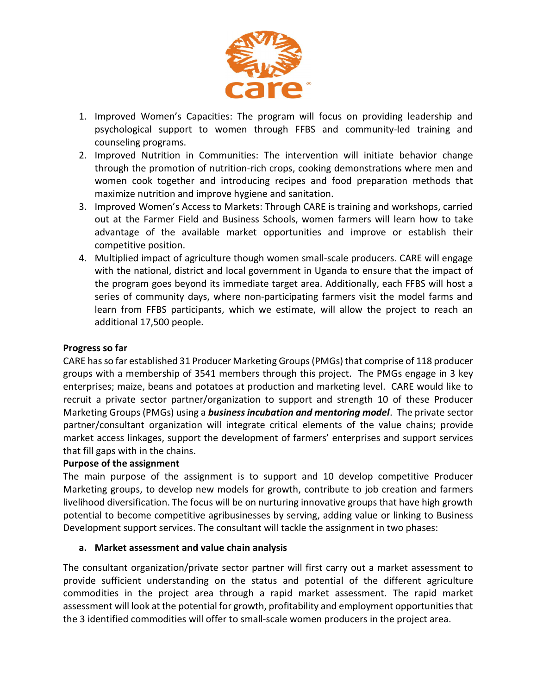

- 1. Improved Women's Capacities: The program will focus on providing leadership and psychological support to women through FFBS and community-led training and counseling programs.
- 2. Improved Nutrition in Communities: The intervention will initiate behavior change through the promotion of nutrition-rich crops, cooking demonstrations where men and women cook together and introducing recipes and food preparation methods that maximize nutrition and improve hygiene and sanitation.
- 3. Improved Women's Access to Markets: Through CARE is training and workshops, carried out at the Farmer Field and Business Schools, women farmers will learn how to take advantage of the available market opportunities and improve or establish their competitive position.
- 4. Multiplied impact of agriculture though women small-scale producers. CARE will engage with the national, district and local government in Uganda to ensure that the impact of the program goes beyond its immediate target area. Additionally, each FFBS will host a series of community days, where non-participating farmers visit the model farms and learn from FFBS participants, which we estimate, will allow the project to reach an additional 17,500 people.

### Progress so far

CARE has so far established 31 Producer Marketing Groups (PMGs) that comprise of 118 producer groups with a membership of 3541 members through this project. The PMGs engage in 3 key enterprises; maize, beans and potatoes at production and marketing level. CARE would like to recruit a private sector partner/organization to support and strength 10 of these Producer Marketing Groups (PMGs) using a **business incubation and mentoring model**. The private sector partner/consultant organization will integrate critical elements of the value chains; provide market access linkages, support the development of farmers' enterprises and support services that fill gaps with in the chains.

#### Purpose of the assignment

The main purpose of the assignment is to support and 10 develop competitive Producer Marketing groups, to develop new models for growth, contribute to job creation and farmers livelihood diversification. The focus will be on nurturing innovative groups that have high growth potential to become competitive agribusinesses by serving, adding value or linking to Business Development support services. The consultant will tackle the assignment in two phases:

#### a. Market assessment and value chain analysis

The consultant organization/private sector partner will first carry out a market assessment to provide sufficient understanding on the status and potential of the different agriculture commodities in the project area through a rapid market assessment. The rapid market assessment will look at the potential for growth, profitability and employment opportunities that the 3 identified commodities will offer to small-scale women producers in the project area.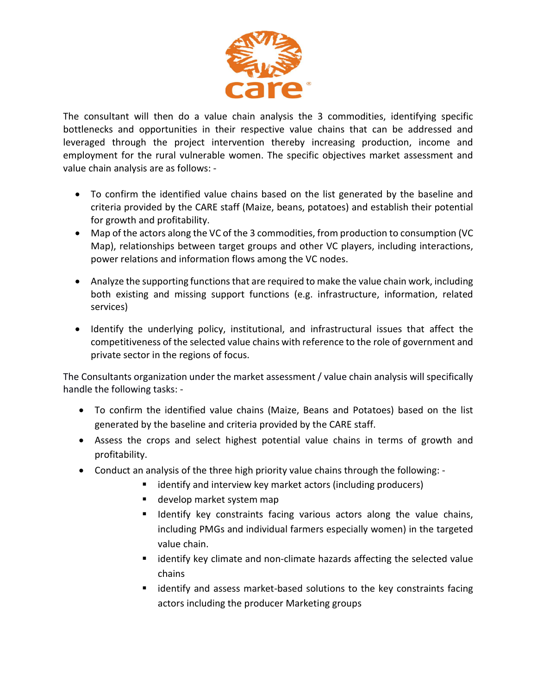

The consultant will then do a value chain analysis the 3 commodities, identifying specific bottlenecks and opportunities in their respective value chains that can be addressed and leveraged through the project intervention thereby increasing production, income and employment for the rural vulnerable women. The specific objectives market assessment and value chain analysis are as follows: -

- To confirm the identified value chains based on the list generated by the baseline and criteria provided by the CARE staff (Maize, beans, potatoes) and establish their potential for growth and profitability.
- Map of the actors along the VC of the 3 commodities, from production to consumption (VC Map), relationships between target groups and other VC players, including interactions, power relations and information flows among the VC nodes.
- Analyze the supporting functions that are required to make the value chain work, including both existing and missing support functions (e.g. infrastructure, information, related services)
- Identify the underlying policy, institutional, and infrastructural issues that affect the competitiveness of the selected value chains with reference to the role of government and private sector in the regions of focus.

The Consultants organization under the market assessment / value chain analysis will specifically handle the following tasks: -

- To confirm the identified value chains (Maize, Beans and Potatoes) based on the list generated by the baseline and criteria provided by the CARE staff.
- Assess the crops and select highest potential value chains in terms of growth and profitability.
- Conduct an analysis of the three high priority value chains through the following:
	- identify and interview key market actors (including producers)
	- develop market system map
	- Identify key constraints facing various actors along the value chains, including PMGs and individual farmers especially women) in the targeted value chain.
	- identify key climate and non-climate hazards affecting the selected value chains
	- **EXT** identify and assess market-based solutions to the key constraints facing actors including the producer Marketing groups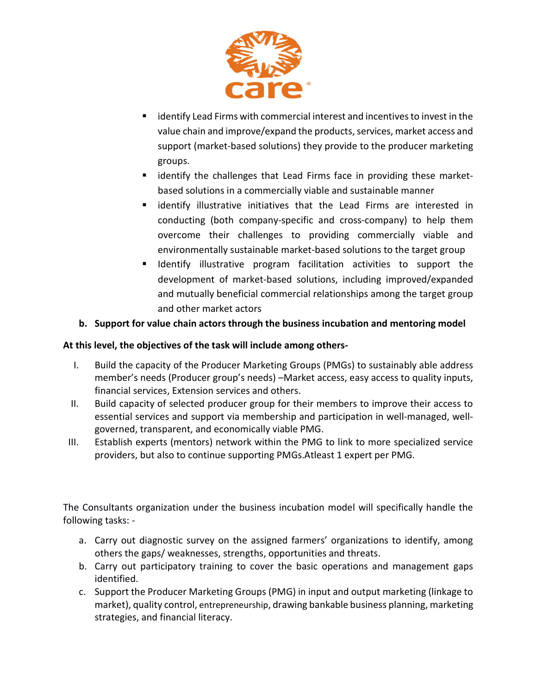

- identify Lead Firms with commercial interest and incentives to invest in the value chain and improve/expand the products, services, market access and support (market-based solutions) they provide to the producer marketing groups.
- **Example identify the challenges that Lead Firms face in providing these market**based solutions in a commercially viable and sustainable manner
- identify illustrative initiatives that the Lead Firms are interested in conducting (both company-specific and cross-company) to help them overcome their challenges to providing commercially viable and environmentally sustainable market-based solutions to the target group
- Identify illustrative program facilitation activities to support the development of market-based solutions, including improved/expanded and mutually beneficial commercial relationships among the target group and other market actors

# b. Support for value chain actors through the business incubation and mentoring model

## At this level, the objectives of the task will include among others-

- I. Build the capacity of the Producer Marketing Groups (PMGs) to sustainably able address member's needs (Producer group's needs) –Market access, easy access to quality inputs, financial services, Extension services and others.
- II. Build capacity of selected producer group for their members to improve their access to essential services and support via membership and participation in well-managed, wellgoverned, transparent, and economically viable PMG.
- III. Establish experts (mentors) network within the PMG to link to more specialized service providers, but also to continue supporting PMGs.Atleast 1 expert per PMG.

The Consultants organization under the business incubation model will specifically handle the following tasks: -

- a. Carry out diagnostic survey on the assigned farmers' organizations to identify, among others the gaps/ weaknesses, strengths, opportunities and threats.
- b. Carry out participatory training to cover the basic operations and management gaps identified.
- c. Support the Producer Marketing Groups (PMG) in input and output marketing (linkage to market), quality control, entrepreneurship, drawing bankable business planning, marketing strategies, and financial literacy.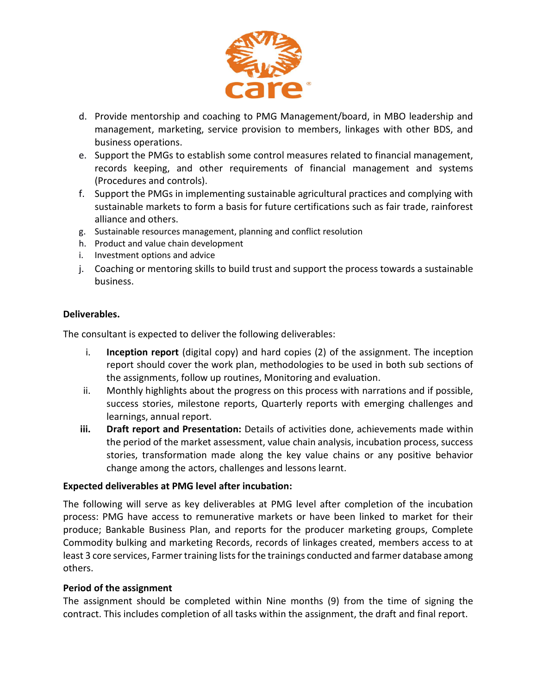

- d. Provide mentorship and coaching to PMG Management/board, in MBO leadership and management, marketing, service provision to members, linkages with other BDS, and business operations.
- e. Support the PMGs to establish some control measures related to financial management, records keeping, and other requirements of financial management and systems (Procedures and controls).
- f. Support the PMGs in implementing sustainable agricultural practices and complying with sustainable markets to form a basis for future certifications such as fair trade, rainforest alliance and others.
- g. Sustainable resources management, planning and conflict resolution
- h. Product and value chain development
- i. Investment options and advice
- j. Coaching or mentoring skills to build trust and support the process towards a sustainable business.

# Deliverables.

The consultant is expected to deliver the following deliverables:

- i. Inception report (digital copy) and hard copies (2) of the assignment. The inception report should cover the work plan, methodologies to be used in both sub sections of the assignments, follow up routines, Monitoring and evaluation.
- ii. Monthly highlights about the progress on this process with narrations and if possible, success stories, milestone reports, Quarterly reports with emerging challenges and learnings, annual report.
- iii. Draft report and Presentation: Details of activities done, achievements made within the period of the market assessment, value chain analysis, incubation process, success stories, transformation made along the key value chains or any positive behavior change among the actors, challenges and lessons learnt.

## Expected deliverables at PMG level after incubation:

The following will serve as key deliverables at PMG level after completion of the incubation process: PMG have access to remunerative markets or have been linked to market for their produce; Bankable Business Plan, and reports for the producer marketing groups, Complete Commodity bulking and marketing Records, records of linkages created, members access to at least 3 core services, Farmer training lists for the trainings conducted and farmer database among others.

## Period of the assignment

The assignment should be completed within Nine months (9) from the time of signing the contract. This includes completion of all tasks within the assignment, the draft and final report.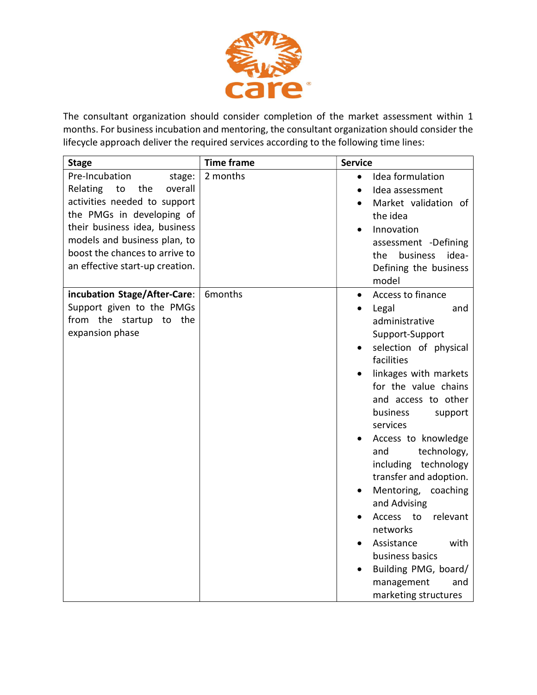

The consultant organization should consider completion of the market assessment within 1 months. For business incubation and mentoring, the consultant organization should consider the lifecycle approach deliver the required services according to the following time lines:

| <b>Stage</b>                                                                                                                                                                                                                                                    | <b>Time frame</b> | <b>Service</b>                                                                                                                                                                                                                                                                                                                                                                                                                                                                                                                    |
|-----------------------------------------------------------------------------------------------------------------------------------------------------------------------------------------------------------------------------------------------------------------|-------------------|-----------------------------------------------------------------------------------------------------------------------------------------------------------------------------------------------------------------------------------------------------------------------------------------------------------------------------------------------------------------------------------------------------------------------------------------------------------------------------------------------------------------------------------|
| Pre-Incubation<br>stage:<br>Relating<br>to<br>the<br>overall<br>activities needed to support<br>the PMGs in developing of<br>their business idea, business<br>models and business plan, to<br>boost the chances to arrive to<br>an effective start-up creation. | 2 months          | Idea formulation<br>$\bullet$<br>Idea assessment<br>Market validation of<br>the idea<br>Innovation<br>assessment -Defining<br>business<br>idea-<br>the.<br>Defining the business<br>model                                                                                                                                                                                                                                                                                                                                         |
| incubation Stage/After-Care:<br>Support given to the PMGs<br>from the startup to the<br>expansion phase                                                                                                                                                         | 6months           | Access to finance<br>$\bullet$<br>Legal<br>and<br>administrative<br>Support-Support<br>selection of physical<br>facilities<br>linkages with markets<br>for the value chains<br>and access to other<br>business<br>support<br>services<br>Access to knowledge<br>technology,<br>and<br>including technology<br>transfer and adoption.<br>Mentoring,<br>coaching<br>and Advising<br>relevant<br>Access to<br>networks<br>Assistance<br>with<br>business basics<br>Building PMG, board/<br>management<br>and<br>marketing structures |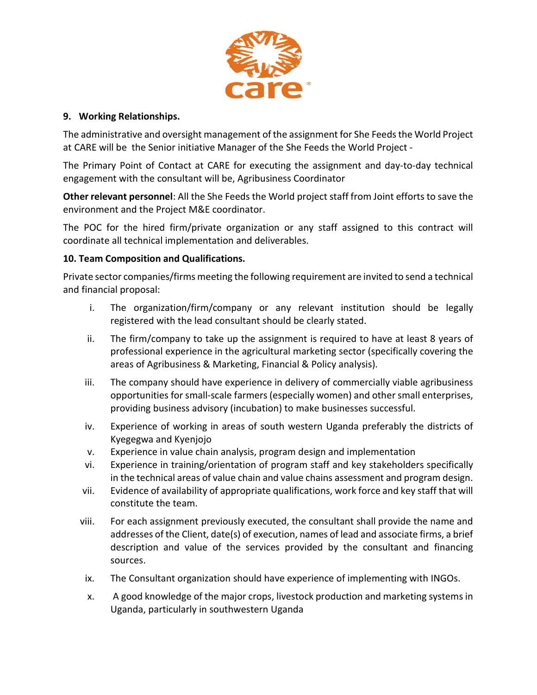

### 9. Working Relationships.

The administrative and oversight management of the assignment for She Feeds the World Project at CARE will be the Senior initiative Manager of the She Feeds the World Project -

The Primary Point of Contact at CARE for executing the assignment and day-to-day technical engagement with the consultant will be, Agribusiness Coordinator

Other relevant personnel: All the She Feeds the World project staff from Joint efforts to save the environment and the Project M&E coordinator.

The POC for the hired firm/private organization or any staff assigned to this contract will coordinate all technical implementation and deliverables.

## 10. Team Composition and Qualifications.

Private sector companies/firms meeting the following requirement are invited to send a technical and financial proposal:

- i. The organization/firm/company or any relevant institution should be legally registered with the lead consultant should be clearly stated.
- ii. The firm/company to take up the assignment is required to have at least 8 years of professional experience in the agricultural marketing sector (specifically covering the areas of Agribusiness & Marketing, Financial & Policy analysis).
- iii. The company should have experience in delivery of commercially viable agribusiness opportunities for small-scale farmers (especially women) and other small enterprises, providing business advisory (incubation) to make businesses successful.
- iv. Experience of working in areas of south western Uganda preferably the districts of Kyegegwa and Kyenjojo
- v. Experience in value chain analysis, program design and implementation
- vi. Experience in training/orientation of program staff and key stakeholders specifically in the technical areas of value chain and value chains assessment and program design.
- vii. Evidence of availability of appropriate qualifications, work force and key staff that will constitute the team.
- viii. For each assignment previously executed, the consultant shall provide the name and addresses of the Client, date(s) of execution, names of lead and associate firms, a brief description and value of the services provided by the consultant and financing sources.
- ix. The Consultant organization should have experience of implementing with INGOs.
- x. A good knowledge of the major crops, livestock production and marketing systems in Uganda, particularly in southwestern Uganda